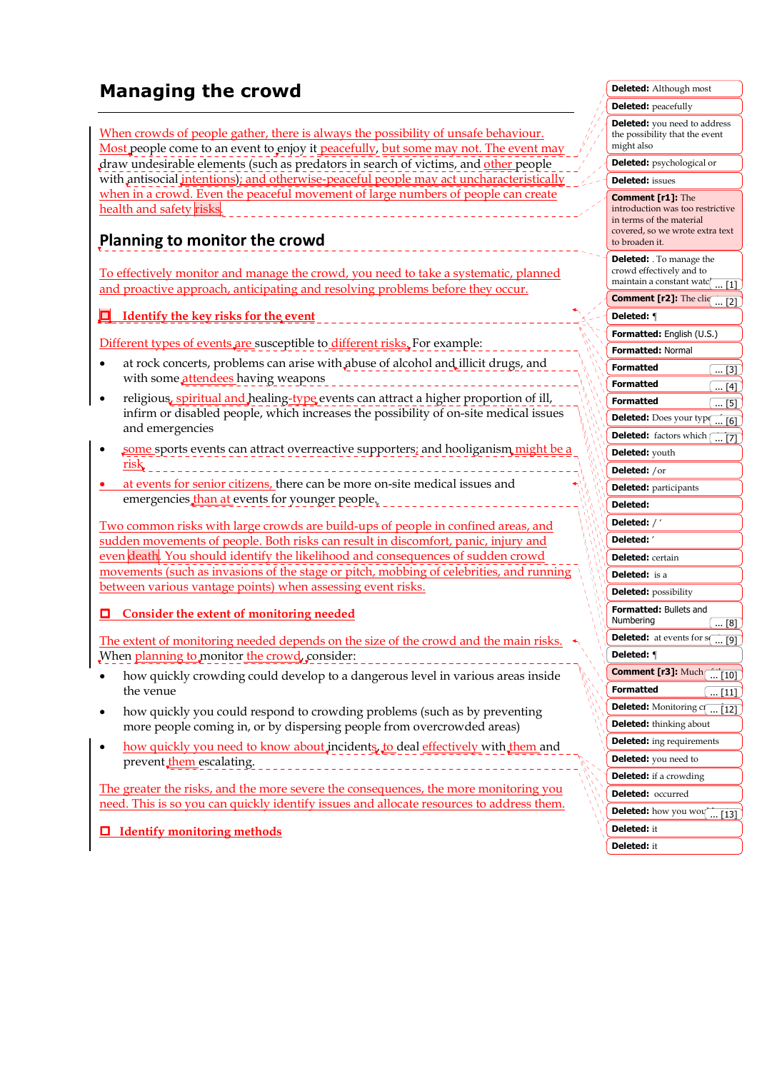# **Managing the crowd**

When crowds of people gather, there is always the possibility of unsafe behaviour. Most people come to an event to enjoy it peacefully, but some may not. The event may draw undesirable elements (such as predators in search of victims, and other people with antisocial *intentions*); and otherwise-peaceful people may act uncharacteristically when in a crowd. Even the peaceful movement of large numbers of people can create health and safety risks. 

## **Planning to monitor the crowd**

To effectively monitor and manage the crowd, you need to take a systematic, planned and proactive approach, anticipating and resolving problems before they occur.

 **Identify the key risks for the event**

Different types of events are susceptible to different risks. For example:

- at rock concerts, problems can arise with abuse of alcohol and illicit drugs, and with some attendees having weapons
- religious, spiritual and healing-type events can attract a higher proportion of ill, infirm or disabled people, which increases the possibility of on-site medical issues and emergencies
- some sports events can attract overreactive supporters; and hooliganism might be a risk
- at events for senior citizens, there can be more on-site medical issues and emergencies than at events for younger people,

Two common risks with large crowds are build-ups of people in confined areas, and sudden movements of people. Both risks can result in discomfort, panic, injury and even death. You should identify the likelihood and consequences of sudden crowd movements (such as invasions of the stage or pitch, mobbing of celebrities, and running between various vantage points) when assessing event risks.

#### **Consider the extent of monitoring needed**

The extent of monitoring needed depends on the size of the crowd and the main risks. When planning to monitor the crowd, consider:

- how quickly crowding could develop to a dangerous level in various areas inside the venue
- how quickly you could respond to crowding problems (such as by preventing more people coming in, or by dispersing people from overcrowded areas)
- how quickly you need to know about incidents, to deal effectively with them and prevent them escalating.

The greater the risks, and the more severe the consequences, the more monitoring you need. This is so you can quickly identify issues and allocate resources to address them.

 **Identify monitoring methods**

| <b>Deleted:</b> Although most                                                                                                                 |
|-----------------------------------------------------------------------------------------------------------------------------------------------|
| <b>Deleted:</b> peacefully                                                                                                                    |
| Deleted: you need to address<br>the possibility that the event<br>might also                                                                  |
| <b>Deleted:</b> psychological or                                                                                                              |
| <b>Deleted:</b> issues                                                                                                                        |
| <b>Comment [r1]:</b> The<br>introduction was too restrictive<br>in terms of the material<br>covered, so we wrote extra text<br>to broaden it. |
| <b>Deleted:</b> . To manage the<br>crowd effectively and to<br>maintain a constant watc <br>[1]                                               |
| <b>Comment [r2]:</b> The cliq<br>[2]                                                                                                          |
| Deleted: ¶                                                                                                                                    |
| Formatted: English (U.S.)                                                                                                                     |
| <b>Formatted: Normal</b>                                                                                                                      |
| Formatted<br>$\dots$ [3]                                                                                                                      |
| Formatted<br>$\dots$ [4]                                                                                                                      |
| <b>Formatted</b><br>〔…[5]                                                                                                                     |
| <b>Deleted:</b> Does your type<br>[6]                                                                                                         |
| <b>Deleted:</b> factors which (<br>[7]                                                                                                        |
| Deleted: youth                                                                                                                                |
| <b>Deleted:</b> /or                                                                                                                           |
| <b>Deleted:</b> participants                                                                                                                  |
| Deleted:                                                                                                                                      |
| Deleted: $/$ $'$                                                                                                                              |
| Deleted: '                                                                                                                                    |
| <b>Deleted:</b> certain                                                                                                                       |
| <b>Deleted:</b> is a                                                                                                                          |
| <b>Deleted:</b> possibility                                                                                                                   |
| <b>Formatted: Bullets and</b><br>Numbering<br>$\dots$ [8]                                                                                     |
| <b>Deleted:</b> at events for s<br>$\overline{[9]}$<br>                                                                                       |
| Deleted: ¶                                                                                                                                    |
| <b>Comment [r3]:</b> Much [ [10]                                                                                                              |
| <b>Formatted</b><br>$\ldots$ [11]                                                                                                             |
| <b>Deleted:</b> Monitoring com<br>[12]                                                                                                        |
| <b>Deleted:</b> thinking about                                                                                                                |
| <b>Deleted:</b> ing requirements                                                                                                              |
| <b>Deleted:</b> you need to                                                                                                                   |
| <b>Deleted:</b> if a crowding                                                                                                                 |
| Deleted:<br>occurred                                                                                                                          |
| Deleted: how you wou                                                                                                                          |
| Deleted: it                                                                                                                                   |
| Deleted: it                                                                                                                                   |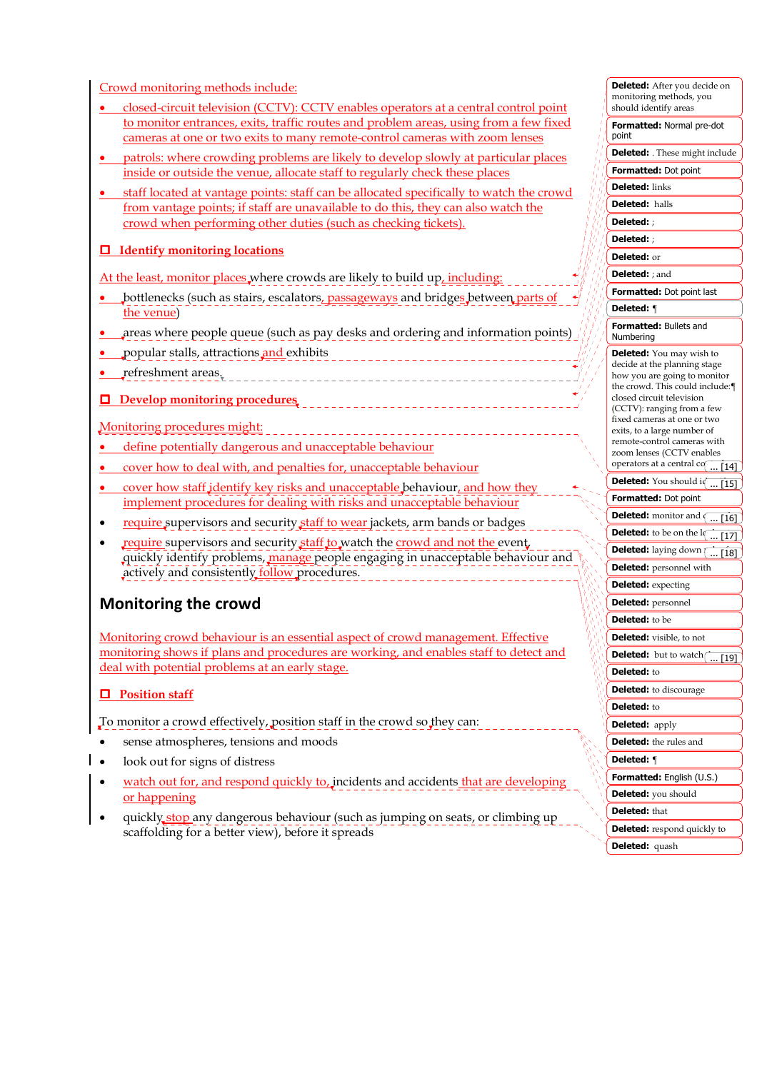Crowd monitoring methods include:

- closed-circuit television (CCTV): CCTV enables operators at a central control point to monitor entrances, exits, traffic routes and problem areas, using from a few fixed cameras at one or two exits to many remote-control cameras with zoom lenses
- patrols: where crowding problems are likely to develop slowly at particular places inside or outside the venue, allocate staff to regularly check these places
- staff located at vantage points: staff can be allocated specifically to watch the crowd from vantage points; if staff are unavailable to do this, they can also watch the crowd when performing other duties (such as checking tickets).

#### **Identify monitoring locations**

At the least, monitor places where crowds are likely to build up, including:

- bottlenecks (such as stairs, escalators, passageways and bridges between parts of the venue)
- areas where people queue (such as pay desks and ordering and information points)
- popular stalls, attractions and exhibits
- refreshment areas.
- **Develop monitoring procedures**

#### Monitoring procedures might:

- define potentially dangerous and unacceptable behaviour
- cover how to deal with, and penalties for, unacceptable behaviour
- cover how staff identify key risks and unacceptable behaviour, and how they implement procedures for dealing with risks and unacceptable behaviour
- require supervisors and security staff to wear jackets, arm bands or badges
- require supervisors and security staff to watch the crowd and not the event, quickly identify problems, manage people engaging in unacceptable behaviour and actively and consistently follow procedures.

### **Monitoring the crowd**

Monitoring crowd behaviour is an essential aspect of crowd management. Effective monitoring shows if plans and procedures are working, and enables staff to detect and deal with potential problems at an early stage.

#### **Position staff**

To monitor a crowd effectively, position staff in the crowd so they can:

- sense atmospheres, tensions and moods
- look out for signs of distress
- watch out for, and respond quickly to, incidents and accidents that are developing or happening
- quickly stop any dangerous behaviour (such as jumping on seats, or climbing up scaffolding for a better view), before it spreads

| monitoring methods, you<br>should identify areas                |
|-----------------------------------------------------------------|
|                                                                 |
| Formatted: Normal pre-dot<br>point                              |
| Deleted: These might include                                    |
| <b>Formatted: Dot point</b>                                     |
| <b>Deleted:</b> links                                           |
| <b>Deleted:</b> halls                                           |
| Deleted: ;                                                      |
| Deleted: ;                                                      |
| Deleted: or                                                     |
| <b>Deleted:</b> ; and                                           |
| Formatted: Dot point last                                       |
| Deleted: ¶                                                      |
| Formatted: Bullets and<br>Numbering                             |
|                                                                 |
| <b>Deleted:</b> You may wish to<br>decide at the planning stage |
| how you are going to monitor<br>the crowd. This could include:  |
| closed circuit television                                       |
| (CCTV): ranging from a few<br>fixed cameras at one or two       |
| exits, to a large number of                                     |
| remote-control cameras with<br>zoom lenses (CCTV enables        |
| operators at a central co $\overline{114}$                      |
| <b>Deleted:</b> You should iq<br>$[15]$                         |
| Formatted: Dot point                                            |
| <b>Deleted:</b> monitor and $\sqrt{16}$                         |
| <b>Deleted:</b> to be on the $1$ $\overline{17}$                |
| Deleted: laying down [ [18]                                     |
| <b>Deleted:</b> personnel with                                  |
| <b>Deleted:</b> expecting                                       |
| <b>Deleted:</b> personnel                                       |
| Deleted: to be                                                  |
|                                                                 |
| Deleted: visible, to not                                        |
| <b>a:</b> but to watch $\vert$<br>$[19]$                        |
| Deleted: to                                                     |
| Deleted: to discourage                                          |
| Deleted: to                                                     |
| <b>Deleted:</b> apply                                           |
| <b>Deleted:</b> the rules and                                   |
| Deleted: ¶                                                      |
| Formatted: English (U.S.)                                       |
| Deleted: you should                                             |
| <b>Deleted:</b> that                                            |
| <b>Deleted:</b> respond quickly to                              |
| Deleted: quash                                                  |